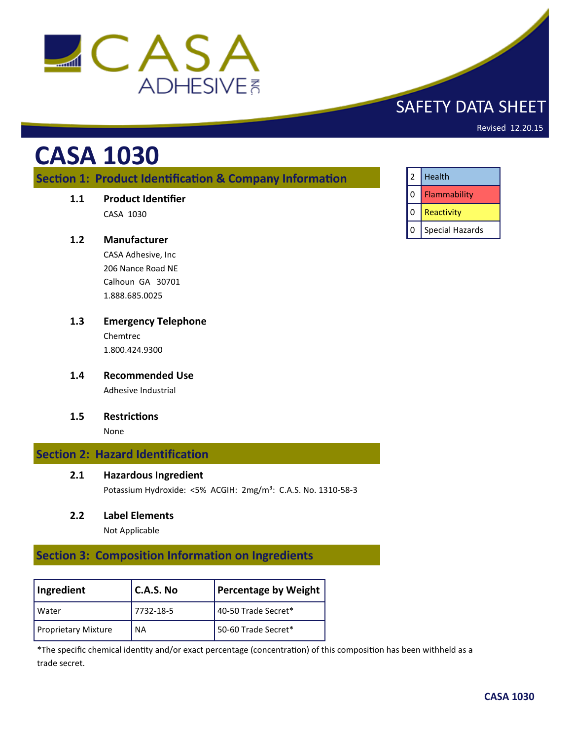

# SAFETY DATA SHEET

Revised 12.20.15

# **CASA 1030**

**Section 1: Product Identification & Company Information**

**1.1 Product Identifier**

CASA 1030

#### **1.2 Manufacturer**

CASA Adhesive, Inc 206 Nance Road NE Calhoun GA 30701 1.888.685.0025

- **1.3 Emergency Telephone** Chemtrec 1.800.424.9300
- **1.4 Recommended Use** Adhesive Industrial
- **1.5 Restrictions**

None

# **Section 2: Hazard Identification**

#### **2.1 Hazardous Ingredient**

Potassium Hydroxide: <5% ACGIH: 2mg/m<sup>3</sup>: C.A.S. No. 1310-58-3

#### **2.2 Label Elements**

Not Applicable

# **Section 3: Composition Information on Ingredients**

| Ingredient                 | $C.A.S.$ No | Percentage by Weight |
|----------------------------|-------------|----------------------|
| l Water                    | 7732-18-5   | 40-50 Trade Secret*  |
| <b>Proprietary Mixture</b> | <b>NA</b>   | 50-60 Trade Secret*  |

\*The specific chemical identity and/or exact percentage (concentration) of this composition has been withheld as a trade secret.

| $\mathcal{P}$ | Health          |
|---------------|-----------------|
|               | Flammability    |
|               | Reactivity      |
|               | Special Hazards |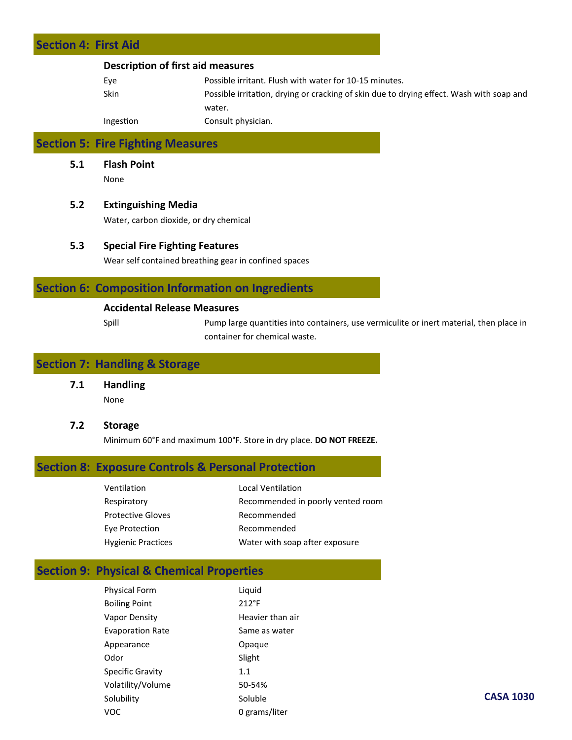# **Section 4: First Aid Description of first aid measures** Eye Possible irritant. Flush with water for 10-15 minutes.

| <b>суе</b> | POSSIDIE Irritant. Flush with water for 10-15 minutes.                                   |
|------------|------------------------------------------------------------------------------------------|
| Skin       | Possible irritation, drying or cracking of skin due to drying effect. Wash with soap and |
|            | water.                                                                                   |
| Ingestion  | Consult physician.                                                                       |

# **Section 5: Fire Fighting Measures**

**5.1 Flash Point**

None

#### **5.2 Extinguishing Media**

Water, carbon dioxide, or dry chemical

#### **5.3 Special Fire Fighting Features**

Wear self contained breathing gear in confined spaces

# **Section 6: Composition Information on Ingredients**

#### **Accidental Release Measures**

Spill Pump large quantities into containers, use vermiculite or inert material, then place in container for chemical waste.

# **Section 7: Handling & Storage**

**7.1 Handling** None

#### **7.2 Storage**

Minimum 60°F and maximum 100°F. Store in dry place. **DO NOT FREEZE.**

# **Section 8: Exposure Controls & Personal Protection**

| Ventilation               | Local Ventilation                 |
|---------------------------|-----------------------------------|
| Respiratory               | Recommended in poorly vented room |
| <b>Protective Gloves</b>  | Recommended                       |
| Eye Protection            | Recommended                       |
| <b>Hygienic Practices</b> | Water with soap after exposure    |

# **Section 9: Physical & Chemical Properties**

| <b>Physical Form</b>    | Liquid           |
|-------------------------|------------------|
| <b>Boiling Point</b>    | $212^{\circ}F$   |
| Vapor Density           | Heavier than air |
| <b>Evaporation Rate</b> | Same as water    |
| Appearance              | Opaque           |
| Odor                    | Slight           |
| Specific Gravity        | 1.1              |
| Volatility/Volume       | 50-54%           |
| Solubility              | Soluble          |
| voc                     | 0 grams/liter    |
|                         |                  |